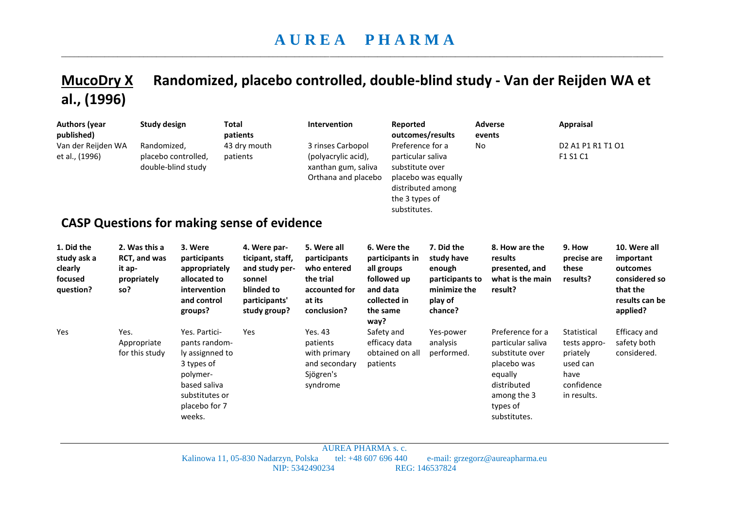## **A U R E A P H A R M A**  \_\_\_\_\_\_\_\_\_\_\_\_\_\_\_\_\_\_\_\_\_\_\_\_\_\_\_\_\_\_\_\_\_\_\_\_\_\_\_\_\_\_\_\_\_\_\_\_\_\_\_\_\_\_\_\_\_\_\_\_\_\_\_\_\_\_\_\_\_\_\_\_\_\_\_\_\_\_\_\_\_\_\_\_\_\_\_\_\_\_\_\_\_\_\_\_\_\_\_\_\_\_\_\_\_\_\_\_\_\_\_\_\_\_\_\_\_\_\_\_\_\_\_\_\_\_\_\_\_\_\_\_\_\_\_\_\_\_\_

## **MucoDry X Randomized, placebo controlled, double-blind study - Van der Reijden WA et al., (1996)**

| <b>Authors (year</b><br>published)<br>Van der Reijden WA<br>et al., (1996) | <b>Study design</b><br>Randomized,                            | Total<br>placebo controlled,<br>double-blind study                                                                                       | patients<br>43 dry mouth<br>patients<br><b>CASP Questions for making sense of evidence</b>                  | Intervention<br>3 rinses Carbopol<br>(polyacrylic acid),<br>xanthan gum, saliva<br>Orthana and placebo | Reported<br>Preference for a<br>particular saliva<br>substitute over<br>the 3 types of<br>substitutes.      | outcomes/results<br>No<br>placebo was equally<br>distributed among                          | <b>Adverse</b><br>events                                                                                                                     | Appraisal<br>D <sub>2</sub> A <sub>1</sub> P <sub>1</sub> R <sub>1</sub> T <sub>1</sub> O <sub>1</sub><br>F1 S1 C1 |                                                                                                  |
|----------------------------------------------------------------------------|---------------------------------------------------------------|------------------------------------------------------------------------------------------------------------------------------------------|-------------------------------------------------------------------------------------------------------------|--------------------------------------------------------------------------------------------------------|-------------------------------------------------------------------------------------------------------------|---------------------------------------------------------------------------------------------|----------------------------------------------------------------------------------------------------------------------------------------------|--------------------------------------------------------------------------------------------------------------------|--------------------------------------------------------------------------------------------------|
| 1. Did the<br>study ask a<br>clearly<br>focused<br>question?               | 2. Was this a<br>RCT, and was<br>it ap-<br>propriately<br>so? | 3. Were<br>participants<br>appropriately<br>allocated to<br>intervention<br>and control<br>groups?                                       | 4. Were par-<br>ticipant, staff,<br>and study per-<br>sonnel<br>blinded to<br>participants'<br>study group? | 5. Were all<br>participants<br>who entered<br>the trial<br>accounted for<br>at its<br>conclusion?      | 6. Were the<br>participants in<br>all groups<br>followed up<br>and data<br>collected in<br>the same<br>way? | 7. Did the<br>study have<br>enough<br>participants to<br>minimize the<br>play of<br>chance? | 8. How are the<br>results<br>presented, and<br>what is the main<br>result?                                                                   | 9. How<br>precise are<br>these<br>results?                                                                         | 10. Were all<br>important<br>outcomes<br>considered so<br>that the<br>results can be<br>applied? |
| Yes                                                                        | Yes.<br>Appropriate<br>for this study                         | Yes. Partici-<br>pants random-<br>ly assignned to<br>3 types of<br>polymer-<br>based saliva<br>substitutes or<br>placebo for 7<br>weeks. | Yes                                                                                                         | Yes. 43<br>patients<br>with primary<br>and secondary<br>Sjögren's<br>syndrome                          | Safety and<br>efficacy data<br>obtained on all<br>patients                                                  | Yes-power<br>analysis<br>performed.                                                         | Preference for a<br>particular saliva<br>substitute over<br>placebo was<br>equally<br>distributed<br>among the 3<br>types of<br>substitutes. | Statistical<br>tests appro-<br>priately<br>used can<br>have<br>confidence<br>in results.                           | Efficacy and<br>safety both<br>considered.                                                       |